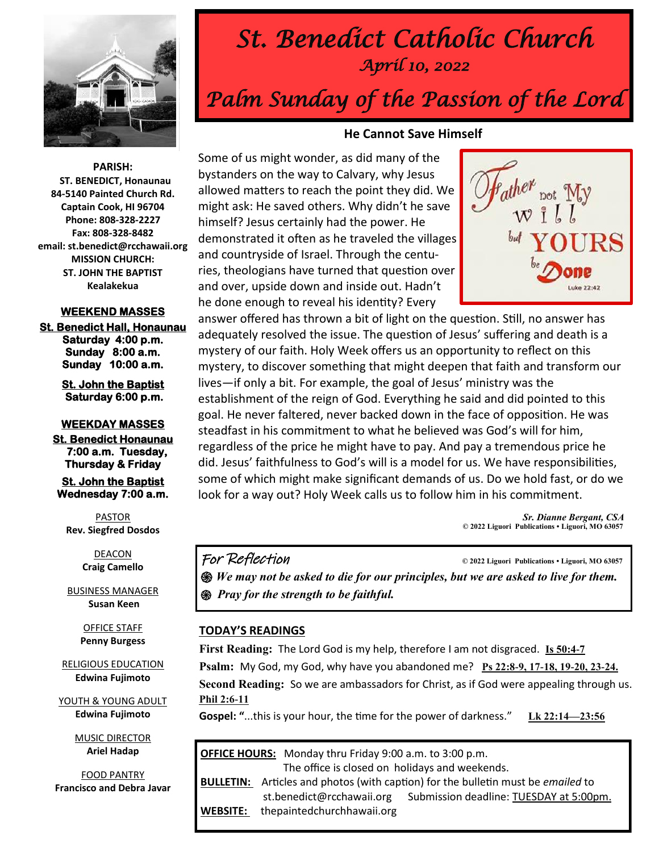

# *St. Benedict Catholic Church April 10, 2022 Palm Sunday of the Passion of the Lord*

# **He Cannot Save Himself**

**PARISH: ST. BENEDICT, Honaunau 84-5140 Painted Church Rd. Captain Cook, HI 96704 Phone: 808-328-2227 Fax: 808-328-8482 email: st.benedict@rcchawaii.org MISSION CHURCH: ST. JOHN THE BAPTIST Kealakekua** 

#### **WEEKEND MASSES**

**St. Benedict Hall, Honaunau Saturday 4:00 p.m. Sunday 8:00 a.m. Sunday 10:00 a.m.** 

> **St. John the Baptist Saturday 6:00 p.m.**

#### **WEEKDAY MASSES**

**St. Benedict Honaunau 7:00 a.m. Tuesday, Thursday & Friday** 

**St. John the Baptist Wednesday 7:00 a.m.** 

PASTOR **Rev. Siegfred Dosdos**

> DEACON **Craig Camello**

BUSINESS MANAGER **Susan Keen**

> OFFICE STAFF **Penny Burgess**

RELIGIOUS EDUCATION **Edwina Fujimoto**

YOUTH & YOUNG ADULT **Edwina Fujimoto**

> MUSIC DIRECTOR **Ariel Hadap**

FOOD PANTRY **Francisco and Debra Javar** Some of us might wonder, as did many of the bystanders on the way to Calvary, why Jesus allowed matters to reach the point they did. We might ask: He saved others. Why didn't he save himself? Jesus certainly had the power. He demonstrated it often as he traveled the villages and countryside of Israel. Through the centuries, theologians have turned that question over and over, upside down and inside out. Hadn't he done enough to reveal his identity? Every



answer offered has thrown a bit of light on the question. Still, no answer has adequately resolved the issue. The question of Jesus' suffering and death is a mystery of our faith. Holy Week offers us an opportunity to reflect on this mystery, to discover something that might deepen that faith and transform our lives—if only a bit. For example, the goal of Jesus' ministry was the establishment of the reign of God. Everything he said and did pointed to this goal. He never faltered, never backed down in the face of opposition. He was steadfast in his commitment to what he believed was God's will for him, regardless of the price he might have to pay. And pay a tremendous price he did. Jesus' faithfulness to God's will is a model for us. We have responsibilities, some of which might make significant demands of us. Do we hold fast, or do we look for a way out? Holy Week calls us to follow him in his commitment.

> *Sr. Dianne Bergant, CSA*   **© 2022 Liguori Publications • Liguori, MO 63057**

# For Reflection **© 2022 Liguori Publications • Liguori, MO 63057**

*֍ We may not be asked to die for our principles, but we are asked to live for them. ֍ Pray for the strength to be faithful.* 

#### **TODAY'S READINGS**

**First Reading:** The Lord God is my help, therefore I am not disgraced. **[Is 50:4-7](https://bible.usccb.org/bible/isaiah/50?4)** 

**Psalm:** My God, my God, why have you abandoned me? **[Ps 22:8-9, 17-18, 19-20, 23-24.](https://bible.usccb.org/bible/psalms/22?8)**

**Second Reading:** So we are ambassadors for Christ, as if God were appealing through us. **[Phil 2:6-11](https://bible.usccb.org/bible/philippians/2?6)**

**Gospel: "**...this is your hour, the time for the power of darkness." **[Lk 22:14—23:56](https://bible.usccb.org/bible/luke/22?14)** 

| <b>OFFICE HOURS:</b> Monday thru Friday 9:00 a.m. to 3:00 p.m. |                                                                                                |
|----------------------------------------------------------------|------------------------------------------------------------------------------------------------|
|                                                                | The office is closed on holidays and weekends.                                                 |
|                                                                | <b>BULLETIN:</b> Articles and photos (with caption) for the bulletin must be <i>emailed</i> to |
|                                                                | Submission deadline: TUESDAY at 5:00pm.<br>st.benedict@rcchawaii.org                           |
| <b>WEBSITE:</b>                                                | thepaintedchurchhawaii.org                                                                     |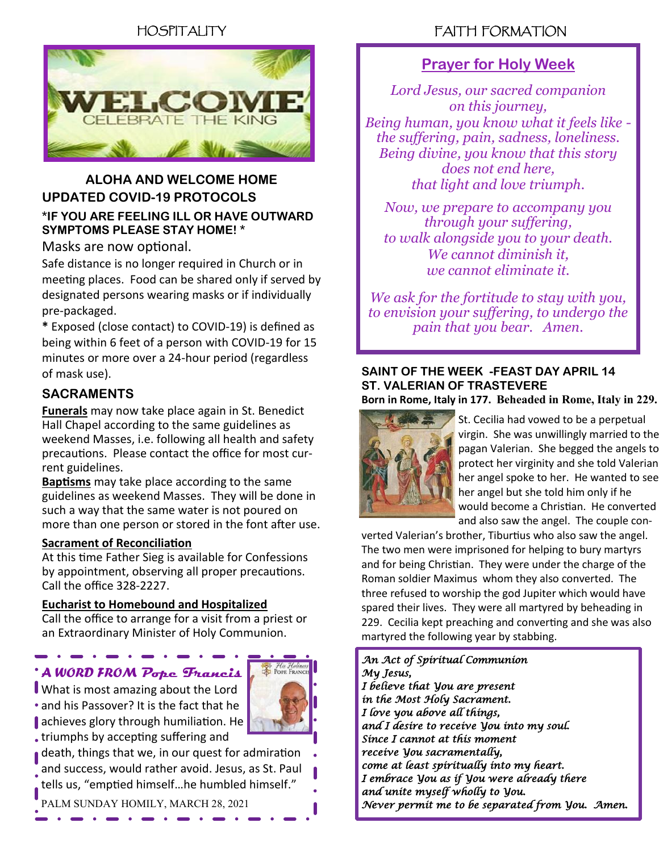# HOSPITALITY



#### **ALOHA AND WELCOME HOME UPDATED COVID-19 PROTOCOLS \*IF YOU ARE FEELING ILL OR HAVE OUTWARD SYMPTOMS PLEASE STAY HOME! \***

#### Masks are now optional.

Safe distance is no longer required in Church or in meeting places. Food can be shared only if served by designated persons wearing masks or if individually pre-packaged.

**\*** Exposed (close contact) to COVID-19) is defined as being within 6 feet of a person with COVID-19 for 15 minutes or more over a 24-hour period (regardless of mask use).

# **SACRAMENTS**

**Funerals** may now take place again in St. Benedict Hall Chapel according to the same guidelines as weekend Masses, i.e. following all health and safety precautions. Please contact the office for most current guidelines.

**Baptisms** may take place according to the same guidelines as weekend Masses. They will be done in such a way that the same water is not poured on more than one person or stored in the font after use.

#### **Sacrament of Reconciliation**

At this time Father Sieg is available for Confessions by appointment, observing all proper precautions. Call the office 328-2227.

#### **Eucharist to Homebound and Hospitalized**

Call the office to arrange for a visit from a priest or an Extraordinary Minister of Holy Communion.

# *A WORD FROM* **Pope Francis**

What is most amazing about the Lord and his Passover? It is the fact that he achieves glory through humiliation. He triumphs by accepting suffering and

death, things that we, in our quest for admiration and success, would rather avoid. Jesus, as St. Paul tells us, "emptied himself…he humbled himself."

PALM SUNDAY HOMILY, MARCH 28, 2021

# FAITH FORMATION

# **Prayer for Holy Week**

*Lord Jesus, our sacred companion on this journey, Being human, you know what it feels like the suffering, pain, sadness, loneliness. Being divine, you know that this story does not end here, that light and love triumph.*

*Now, we prepare to accompany you through your suffering, to walk alongside you to your death. We cannot diminish it, we cannot eliminate it.* 

*We ask for the fortitude to stay with you, to envision your suffering, to undergo the pain that you bear. Amen.*

#### **SAINT OF THE WEEK -FEAST DAY APRIL 14 ST. VALERIAN OF TRASTEVERE Born in Rome, Italy in 177. Beheaded in Rome, Italy in 229.**



St. Cecilia had vowed to be a perpetual virgin. She was unwillingly married to the pagan Valerian. She begged the angels to protect her virginity and she told Valerian her angel spoke to her. He wanted to see her angel but she told him only if he would become a Christian. He converted and also saw the angel. The couple con-

verted Valerian's brother, Tiburtius who also saw the angel. The two men were imprisoned for helping to bury martyrs and for being Christian. They were under the charge of the Roman soldier Maximus whom they also converted. The three refused to worship the god Jupiter which would have spared their lives. They were all martyred by beheading in 229. Cecilia kept preaching and converting and she was also martyred the following year by stabbing.

*An Act of Spiritual Communion My Jesus, I believe that You are present in the Most Holy Sacrament. I love you above all things, and I desire to receive You into my soul. Since I cannot at this moment receive You sacramentally, come at least spiritually into my heart. I embrace You as if You were already there and unite myself wholly to You. Never permit me to be separated from You. Amen.*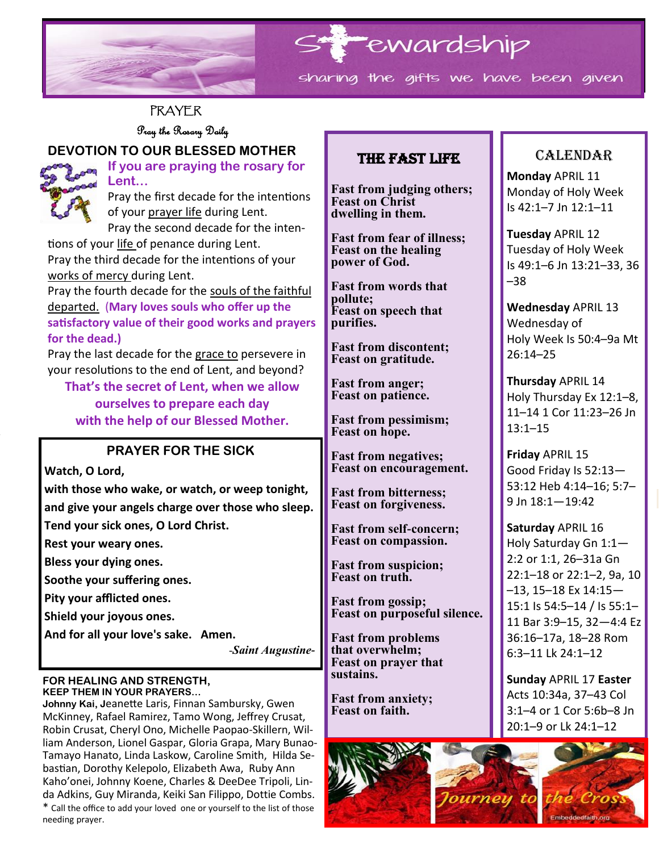

# **PRAYER**

Pray the Rosary Daily

# **DEVOTION TO OUR BLESSED MOTHER**



**If you are praying the rosary for Lent…**

Pray the first decade for the intentions of your prayer life during Lent.

Pray the second decade for the intentions of your life of penance during Lent. Pray the third decade for the intentions of your

works of mercy during Lent.

Pray the fourth decade for the souls of the faithful departed. (**Mary loves souls who offer up the satisfactory value of their good works and prayers for the dead.)** 

Pray the last decade for the grace to persevere in your resolutions to the end of Lent, and beyond?

**That's the secret of Lent, when we allow ourselves to prepare each day with the help of our Blessed Mother.** 

# **PRAYER FOR THE SICK**

**Watch, O Lord,** 

virgin. She was unwillingly married to the

**with those who wake, or watch, or weep tonight, and give your angels charge over those who sleep.** 

**Tend your sick ones, O Lord Christ.**

**Rest your weary ones.** 

**Bless your dying ones.**

**Soothe your suffering ones.** 

**Pity your afflicted ones.**

**Shield your joyous ones.** 

**And for all your love's sake. Amen.**

-*Saint Augustine-*

#### **FOR HEALING AND STRENGTH, KEEP THEM IN YOUR PRAYERS…**

**Johnny Kai, J**eanette Laris, Finnan Sambursky, Gwen McKinney, Rafael Ramirez, Tamo Wong, Jeffrey Crusat, Robin Crusat, Cheryl Ono, Michelle Paopao-Skillern, William Anderson, Lionel Gaspar, Gloria Grapa, Mary Bunao-Tamayo Hanato, Linda Laskow, Caroline Smith, Hilda Sebastian, Dorothy Kelepolo, Elizabeth Awa, Ruby Ann Kaho'onei, Johnny Koene, Charles & DeeDee Tripoli, Linda Adkins, Guy Miranda, Keiki San Filippo, Dottie Combs. \* Call the office to add your loved one or yourself to the list of those needing prayer.

# The Fast Life

**Fast from judging others; Feast on Christ dwelling in them.**

**Fast from fear of illness; Feast on the healing power of God.**

**Fast from words that pollute; Feast on speech that purifies.**

**Fast from discontent; Feast on gratitude.**

**Fast from anger; Feast on patience.**

**Fast from pessimism; Feast on hope.**

**Fast from negatives; Feast on encouragement.**

**Fast from bitterness; Feast on forgiveness.**

**Fast from self-concern; Feast on compassion.**

**Fast from suspicion; Feast on truth.**

**Fast from gossip; Feast on purposeful silence.**

**Fast from problems that overwhelm; Feast on prayer that sustains.**

**Fast from anxiety; Feast on faith.**



# CALENDAR

**Monday** APRIL 11 Monday of Holy Week Is 42:1–7 Jn 12:1–11

**Tuesday** APRIL 12 Tuesday of Holy Week Is 49:1–6 Jn 13:21–33, 36 –38

**Wednesday** APRIL 13 Wednesday of Holy Week Is 50:4–9a Mt 26:14–25

**Thursday** APRIL 14 Holy Thursday Ex 12:1–8, 11–14 1 Cor 11:23–26 Jn 13:1–15

**Friday** APRIL 15 Good Friday Is 52:13— 53:12 Heb 4:14–16; 5:7– 9 Jn 18:1—19:42

**Saturday** APRIL 16 Holy Saturday Gn 1:1— 2:2 or 1:1, 26–31a Gn 22:1–18 or 22:1–2, 9a, 10 –13, 15–18 Ex 14:15— 15:1 Is 54:5–14 / Is 55:1– 11 Bar 3:9–15, 32—4:4 Ez 36:16–17a, 18–28 Rom 6:3–11 Lk 24:1–12

**Sunday** APRIL 17 **Easter** Acts 10:34a, 37–43 Col 3:1–4 or 1 Cor 5:6b–8 Jn 20:1–9 or Lk 24:1–12